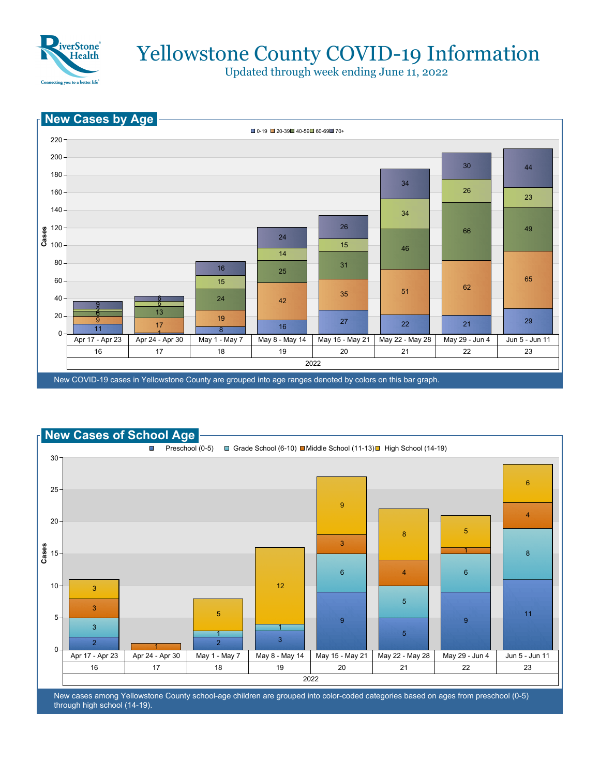

## Yellowstone County COVID-19 Information

Updated through week ending June 11, 2022





New cases among Yellowstone County school-age children are grouped into color-coded categories based on ages from preschool (0-5) through high school (14-19).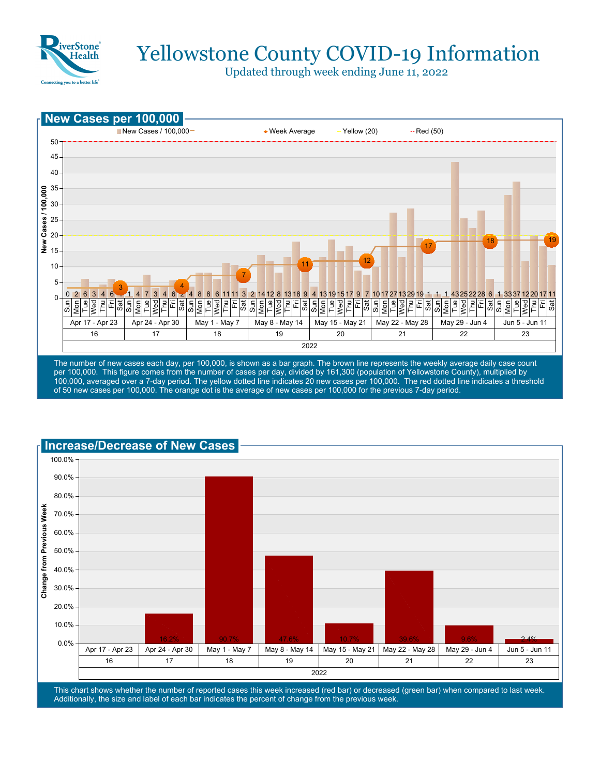

# Yellowstone County COVID-19 Information

Updated through week ending June 11, 2022



per 100,000. This figure comes from the number of cases per day, divided by 161,300 (population of Yellowstone County), multiplied by 100,000, averaged over a 7-day period. The yellow dotted line indicates 20 new cases per 100,000. The red dotted line indicates a threshold of 50 new cases per 100,000. The orange dot is the average of new cases per 100,000 for the previous 7-day period.



This chart shows whether the number of reported cases this week increased (red bar) or decreased (green bar) when compared to last week. Additionally, the size and label of each bar indicates the percent of change from the previous week.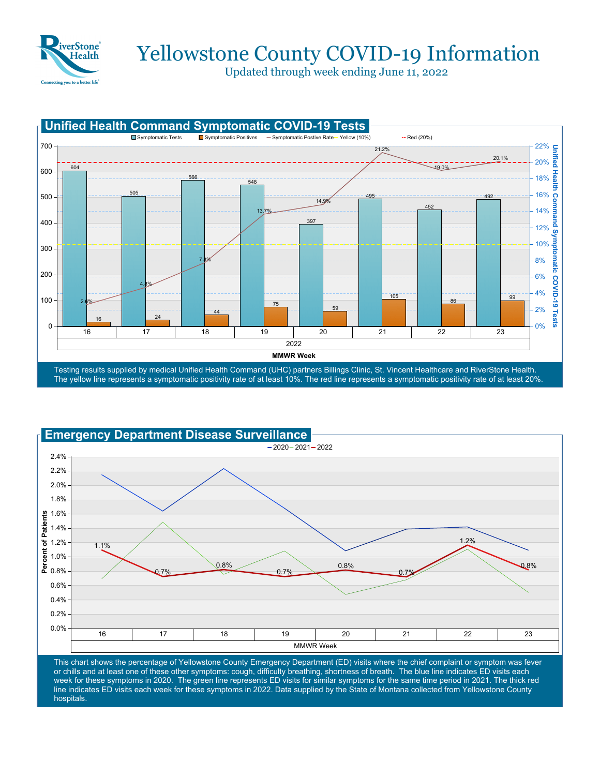

### Yellowstone County COVID-19 Information

Updated through week ending June 11, 2022





This chart shows the percentage of Yellowstone County Emergency Department (ED) visits where the chief complaint or symptom was fever or chills and at least one of these other symptoms: cough, difficulty breathing, shortness of breath. The blue line indicates ED visits each week for these symptoms in 2020. The green line represents ED visits for similar symptoms for the same time period in 2021. The thick red line indicates ED visits each week for these symptoms in 2022. Data supplied by the State of Montana collected from Yellowstone County hospitals.